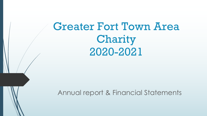# Greater Fort Town Area Charity 2020-2021

#### Annual report & Financial Statements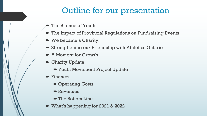## Outline for our presentation

- $\blacktriangleright$  The Silence of Youth
- $\blacktriangleright$  The Impact of Provincial Regulations on Fundraising Events
- We became a Charity!
- Strengthening our Friendship with Athletics Ontario
- $\blacksquare$  A Moment for Growth
- $\blacktriangleright$  Charity Update
	- Youth Movement Project Update
- $\blacktriangleright$  Finances
	- Operating Costs
	- $\blacksquare$  Revenues
	- $\blacksquare$  The Bottom Line
- What's happening for 2021 & 2022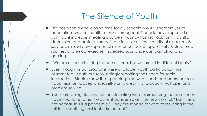## The Silence of Youth

- This has been a challenging time for all, especially our vulnerable youth population. Mental health services throughout Canada have reported a significant increase in eating disorders, truancy from school, family conflict, depression and anxiety, family financial insecurities, scarcity of resources & services, missed developmental milestones, lack of opportunity & structured routines of physical exercise, increased substance use, gambling, and gaming.
- "We are all experiencing the same storm, but we are all in different boats."
- $\blacktriangleright$  Even though virtual programs were available, youth participation has plummeted. Youth are resoundingly reporting their need for social interaction. Studies show that spending time with friends and peers increase happiness, self-acceptance, self-worth, creativity, productivity, hope, and problem-solving.
- Youth are being silenced by the placating words surrounding them, as many have tried to reframe the current pandemic as "the new normal," but "this is not normal, this is a pandemic." They are looking forward to returning in the fall to "something that looks like normal."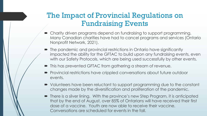### The Impact of Provincial Regulations on Fundraising Events

- $\bullet$  Charity driven programs depend on fundraising to support programming. Many Canadian charities have had to cancel programs and services (Ontario Nonprofit Network, 2021).
- The pandemic and provincial restrictions in Ontario have significantly impacted the ability for the GFTAC to build upon any fundraising events, even with our Safety Protocols, which are being used successfully by other events.
- $\blacksquare$  This has prevented GFTAC from gathering a stream of revenue.
- Provincial restrictions have crippled conversations about future outdoor events.
- Volunteers have been reluctant to support programming due to the constant changes made by the diversification and proliferation of the pandemic.
- There is a silver lining. With the province's new Step Program, it is anticipated that by the end of August, over 85% of Ontarians will have received their first dose of a vaccine. Youth are now able to receive their vaccine. Conversations are scheduled for events in the fall.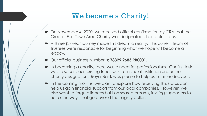### We became a Charity!

- On November 4, 2020, we received official confirmation by CRA that the Greater Fort Town Area Charity was designated charitable status.
- A three (3) year journey made this dream a reality. This current team of Trustees were responsible for beginning what we hope will become a legacy.
- $\rightarrow$  Our official business number is: **78329 2683 RR0001**.
- In becoming a charity, there was a need for professionalism. Our first task was to secure our existing funds with a financial institution under the charity designation. Royal Bank was please to help us in this endeavour.
- $\blacksquare$  In the coming months, we plan to explore how receiving this status can help us gain financial support from our local companies. However, we also want to forge alliances built on shared dreams, inviting supporters to help us in ways that go beyond the mighty dollar.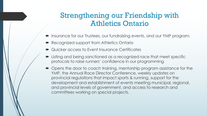### Strengthening our Friendship with Athletics Ontario

- $\blacksquare$  Insurance for our Trustees, our fundraising events, and our YMP program.
- Recognized support from Athletics Ontario
- ´ Quicker access to Event Insurance Certificates
- $\blacktriangleright$  Listing and being sanctioned as a recognized race that meet specific protocols to raise runners' confidence in our programming
- Opens the door to coach training, mentorship program assistance for the YMP, the Annual Race Director Conference, weekly updates on provincial regulations that impact sports & running, support for the development and establishment of events meeting municipal, regional, and provincial levels of government, and access to research and committees working on special projects.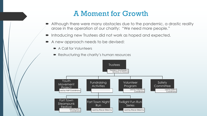#### A Moment for Growth

- Although there were many obstacles due to the pandemic, a drastic reality arose in the operation of our charity: "We need more people."
- $\blacksquare$  Introducing new Trustees did not work as hoped and expected.
- A new approach needs to be devised:
	- $\blacktriangleright$  A Call for Volunteers
	- Restructuring the charity's human resources

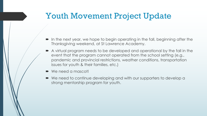## Youth Movement Project Update

- $\blacksquare$  In the next year, we hope to begin operating in the fall, beginning after the Thanksgiving weekend, at St Lawrence Academy.
- $\blacktriangleright$  A virtual program needs to be developed and operational by the fall in the event that the program cannot operated from the school setting (e.g., pandemic and provincial restrictions, weather conditions, transportation issues for youth & their families, etc.)
- We need a mascot!
- We need to continue developing and with our supporters to develop a strong mentorship program for youth.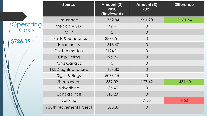|                    | Source                 | Amount (\$)<br>2020<br>(Reviewed) | Amount (\$)<br>2021 | <b>Difference</b> |
|--------------------|------------------------|-----------------------------------|---------------------|-------------------|
|                    | Insurance              | 1752.84                           | 591.20              | $-1161.64$        |
| Operating<br>Costs | Medical – SJA          | 142.41                            | $\overline{0}$      |                   |
|                    | <b>OPP</b>             | $\overline{O}$                    | $\overline{0}$      |                   |
| \$726.19           | T-shirts & Bandanas    | 3898.51                           | $\overline{O}$      |                   |
|                    | <b>Headlamps</b>       | 1613.47                           | $\overline{O}$      |                   |
|                    | Finisher medals        | 2124.11                           | $\overline{O}$      |                   |
|                    | Chip Timing            | 196.96                            | $\overline{O}$      |                   |
|                    | Parks Canada           | $\Omega$                          | $\overline{O}$      |                   |
|                    | FRED Lights and bins   | 1127.80                           | $\overline{O}$      |                   |
|                    | Signs & Flags          | 5073.15                           | $\overline{0}$      |                   |
|                    | <b>Miscellaneous</b>   | 559.09                            | 127.49              | $-431.60$         |
|                    | Advertising            | 136.47                            | $\overline{O}$      |                   |
|                    | Canada Post            | 518.23                            | $\overline{O}$      |                   |
|                    | <b>Banking</b>         |                                   | 7.50                | 7.50              |
|                    | Youth Movement Project | 1503.39                           | $\bigcirc$          |                   |

**\$726.19**

 $\blacksquare$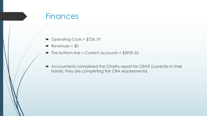### **Finances**

- $\rightarrow$  Operating Costs = \$726.19
- $\blacktriangleright$  Revenues = \$0
- $\blacksquare$  The bottom line = Current accounts = \$3950.53
- Accountants completed the Charity report for CRA? (currently in their hands, they are completing the CRA requirements)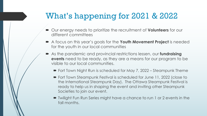## What's happening for 2021 & 2022

- $\bullet$  Our energy needs to prioritize the recruitment of **Volunteers** for our different committees
- ´ A focus on this year's goals for the **Youth Movement Project** is needed for the youth in our local communities
- ´ As the pandemic and provincial restrictions lessen, our **fundraising events** need to be ready, as they are a means for our program to be visible to our local communities.
	- Fort Town Night Run is scheduled for May 7, 2022 Steampunk Theme
	- Fort Town Steampunk Festival is scheduled for June 11, 2022 (close to the International Steampunk Day). The Ottawa Steampunk Festival is ready to help us in shaping the event and inviting other Steampunk Societies to join our event.
	- Twilight Fun Run Series might have a chance to run 1 or 2 events in the fall months.